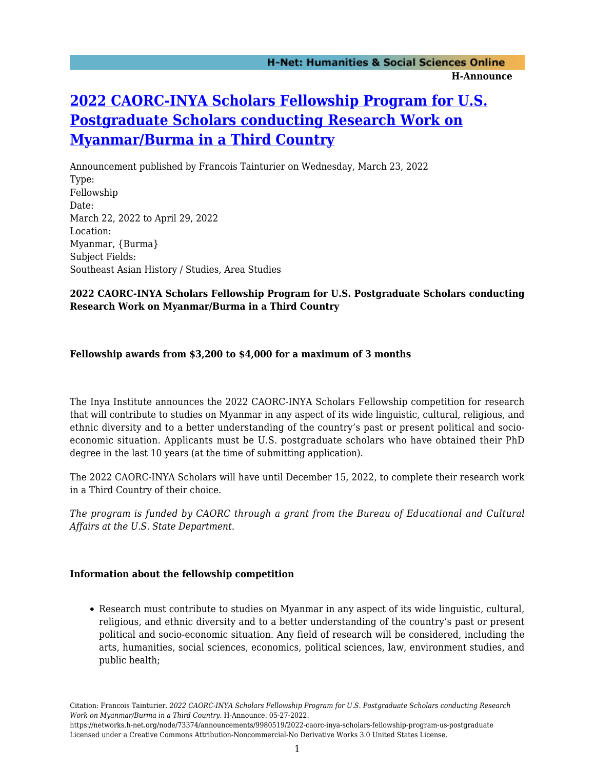# **[2022 CAORC-INYA Scholars Fellowship Program for U.S.](https://networks.h-net.org/node/73374/announcements/9980519/2022-caorc-inya-scholars-fellowship-program-us-postgraduate) [Postgraduate Scholars conducting Research Work on](https://networks.h-net.org/node/73374/announcements/9980519/2022-caorc-inya-scholars-fellowship-program-us-postgraduate) [Myanmar/Burma in a Third Country](https://networks.h-net.org/node/73374/announcements/9980519/2022-caorc-inya-scholars-fellowship-program-us-postgraduate)**

Announcement published by Francois Tainturier on Wednesday, March 23, 2022 Type: Fellowship Date: March 22, 2022 to April 29, 2022 Location: Myanmar, {Burma} Subject Fields: Southeast Asian History / Studies, Area Studies

# **2022 CAORC-INYA Scholars Fellowship Program for U.S. Postgraduate Scholars conducting Research Work on Myanmar/Burma in a Third Country**

## **Fellowship awards from \$3,200 to \$4,000 for a maximum of 3 months**

The Inya Institute announces the 2022 CAORC-INYA Scholars Fellowship competition for research that will contribute to studies on Myanmar in any aspect of its wide linguistic, cultural, religious, and ethnic diversity and to a better understanding of the country's past or present political and socioeconomic situation. Applicants must be U.S. postgraduate scholars who have obtained their PhD degree in the last 10 years (at the time of submitting application).

The 2022 CAORC-INYA Scholars will have until December 15, 2022, to complete their research work in a Third Country of their choice.

*The program is funded by CAORC through a grant from the Bureau of Educational and Cultural Affairs at the U.S. State Department.* 

#### **Information about the fellowship competition**

Research must contribute to studies on Myanmar in any aspect of its wide linguistic, cultural, religious, and ethnic diversity and to a better understanding of the country's past or present political and socio-economic situation. Any field of research will be considered, including the arts, humanities, social sciences, economics, political sciences, law, environment studies, and public health;

https://networks.h-net.org/node/73374/announcements/9980519/2022-caorc-inya-scholars-fellowship-program-us-postgraduate Licensed under a Creative Commons Attribution-Noncommercial-No Derivative Works 3.0 United States License.

Citation: Francois Tainturier. *2022 CAORC-INYA Scholars Fellowship Program for U.S. Postgraduate Scholars conducting Research Work on Myanmar/Burma in a Third Country*. H-Announce. 05-27-2022.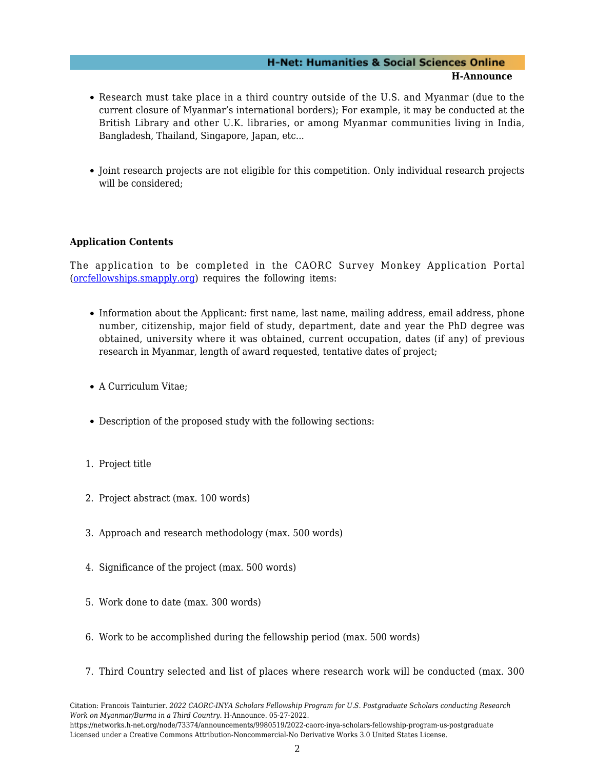#### **H-Net: Humanities & Social Sciences Online H-Announce**

- Research must take place in a third country outside of the U.S. and Myanmar (due to the current closure of Myanmar's international borders); For example, it may be conducted at the British Library and other U.K. libraries, or among Myanmar communities living in India, Bangladesh, Thailand, Singapore, Japan, etc...
- Joint research projects are not eligible for this competition. Only individual research projects will be considered;

## **Application Contents**

The application to be completed in the CAORC Survey Monkey Application Portal ([orcfellowships.smapply.org\)](https://orcfellowships.smapply.org/) requires the following items:

- Information about the Applicant: first name, last name, mailing address, email address, phone number, citizenship, major field of study, department, date and year the PhD degree was obtained, university where it was obtained, current occupation, dates (if any) of previous research in Myanmar, length of award requested, tentative dates of project;
- A Curriculum Vitae:
- Description of the proposed study with the following sections:
- 1. Project title
- 2. Project abstract (max. 100 words)
- 3. Approach and research methodology (max. 500 words)
- 4. Significance of the project (max. 500 words)
- 5. Work done to date (max. 300 words)
- 6. Work to be accomplished during the fellowship period (max. 500 words)
- 7. Third Country selected and list of places where research work will be conducted (max. 300

Citation: Francois Tainturier. *2022 CAORC-INYA Scholars Fellowship Program for U.S. Postgraduate Scholars conducting Research Work on Myanmar/Burma in a Third Country*. H-Announce. 05-27-2022.

https://networks.h-net.org/node/73374/announcements/9980519/2022-caorc-inya-scholars-fellowship-program-us-postgraduate Licensed under a Creative Commons Attribution-Noncommercial-No Derivative Works 3.0 United States License.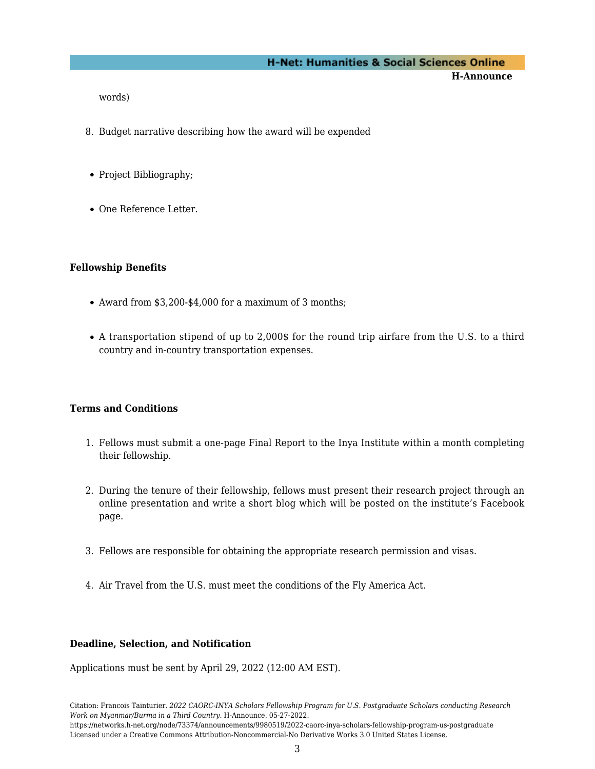# **H-Net: Humanities & Social Sciences Online**

**H-Announce** 

words)

- 8. Budget narrative describing how the award will be expended
- Project Bibliography;
- One Reference Letter.

## **Fellowship Benefits**

- Award from \$3,200-\$4,000 for a maximum of 3 months;
- A transportation stipend of up to 2,000\$ for the round trip airfare from the U.S. to a third country and in-country transportation expenses.

#### **Terms and Conditions**

- 1. Fellows must submit a one-page Final Report to the Inya Institute within a month completing their fellowship.
- 2. During the tenure of their fellowship, fellows must present their research project through an online presentation and write a short blog which will be posted on the institute's Facebook page.
- 3. Fellows are responsible for obtaining the appropriate research permission and visas.
- 4. Air Travel from the U.S. must meet the conditions of the Fly America Act.

#### **Deadline, Selection, and Notification**

Applications must be sent by April 29, 2022 (12:00 AM EST).

Citation: Francois Tainturier. *2022 CAORC-INYA Scholars Fellowship Program for U.S. Postgraduate Scholars conducting Research Work on Myanmar/Burma in a Third Country*. H-Announce. 05-27-2022.

https://networks.h-net.org/node/73374/announcements/9980519/2022-caorc-inya-scholars-fellowship-program-us-postgraduate Licensed under a Creative Commons Attribution-Noncommercial-No Derivative Works 3.0 United States License.